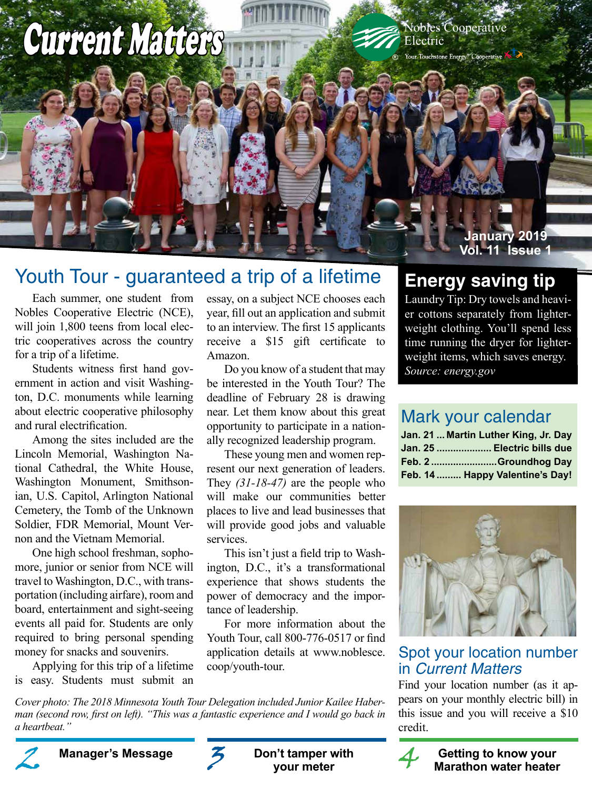# Current Matters Nobles Cooperative

Electric

®

#### **January 2019 Vol. 11 Issue 1**

## Youth Tour - guaranteed a trip of a lifetime

Each summer, one student from Nobles Cooperative Electric (NCE), will join 1,800 teens from local electric cooperatives across the country for a trip of a lifetime.

 Students witness first hand government in action and visit Washington, D.C. monuments while learning about electric cooperative philosophy and rural electrification.

 Among the sites included are the Lincoln Memorial, Washington National Cathedral, the White House, Washington Monument, Smithsonian, U.S. Capitol, Arlington National Cemetery, the Tomb of the Unknown Soldier, FDR Memorial, Mount Vernon and the Vietnam Memorial.

 One high school freshman, sophomore, junior or senior from NCE will travel to Washington, D.C., with transportation (including airfare), room and board, entertainment and sight-seeing events all paid for. Students are only required to bring personal spending money for snacks and souvenirs.

 Applying for this trip of a lifetime is easy. Students must submit an essay, on a subject NCE chooses each year, fill out an application and submit to an interview. The first 15 applicants receive a \$15 gift certificate to Amazon.

Do you know of a student that may be interested in the Youth Tour? The deadline of February 28 is drawing near. Let them know about this great opportunity to participate in a nationally recognized leadership program.

 These young men and women represent our next generation of leaders. They *(31-18-47)* are the people who will make our communities better places to live and lead businesses that will provide good jobs and valuable services.

 This isn't just a field trip to Washington, D.C., it's a transformational experience that shows students the power of democracy and the importance of leadership.

For more information about the Youth Tour, call 800-776-0517 or find application details at www.noblesce. coop/youth-tour.

*Cover photo: The 2018 Minnesota Youth Tour Delegation included Junior Kailee Haberman (second row, first on left). "This was a fantastic experience and I would go back in a heartbeat."*



Manager's Message **2** Don't tamper with 4

**Don't tamper with your meter**

## **Energy saving tip**

Laundry Tip: Dry towels and heavier cottons separately from lighterweight clothing. You'll spend less time running the dryer for lighterweight items, which saves energy. *Source: energy.gov*

## Mark your calendar

|  | Jan. 21  Martin Luther King, Jr. Day |
|--|--------------------------------------|
|  | Jan. 25  Electric bills due          |
|  | Feb. 2 Groundhog Day                 |
|  | Feb. 14  Happy Valentine's Day!      |



## Spot your location number in Current Matters

Find your location number (as it appears on your monthly electric bill) in this issue and you will receive a \$10 credit.



**Manager's Message**  $\boldsymbol{\mathcal{Z}}$  **Don't tamper with**  $\boldsymbol{\mathcal{A}}$  **Getting to know your Marathon water heater**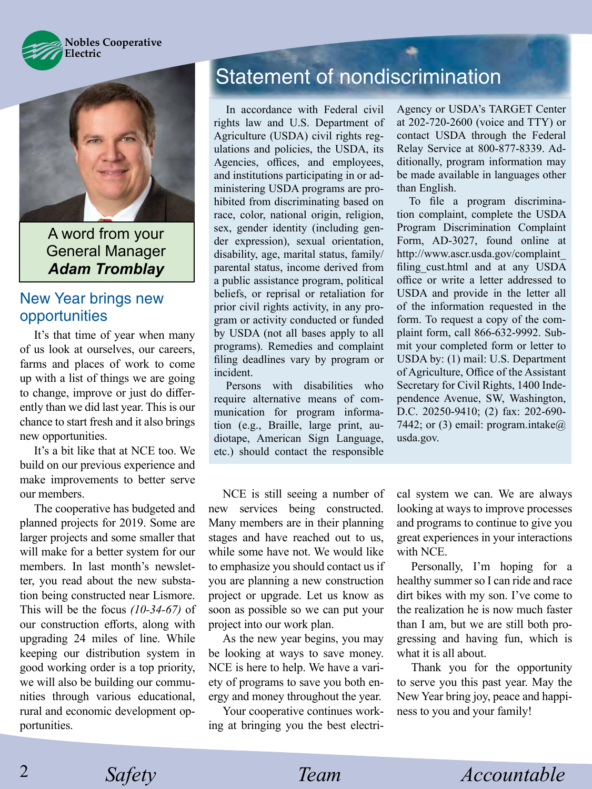



A word from your General Manager *Adam Tromblay*

#### New Year brings new opportunities

It's that time of year when many of us look at ourselves, our careers, farms and places of work to come up with a list of things we are going to change, improve or just do differently than we did last year. This is our chance to start fresh and it also brings new opportunities.

It's a bit like that at NCE too. We build on our previous experience and make improvements to better serve our members.

 The cooperative has budgeted and planned projects for 2019. Some are larger projects and some smaller that will make for a better system for our members. In last month's newsletter, you read about the new substation being constructed near Lismore. This will be the focus *(10-34-67)* of our construction efforts, along with upgrading 24 miles of line. While keeping our distribution system in good working order is a top priority, we will also be building our communities through various educational, rural and economic development opportunities.

# Statement of nondiscrimination

In accordance with Federal civil rights law and U.S. Department of Agriculture (USDA) civil rights regulations and policies, the USDA, its Agencies, offices, and employees, and institutions participating in or administering USDA programs are prohibited from discriminating based on race, color, national origin, religion, sex, gender identity (including gender expression), sexual orientation, disability, age, marital status, family/ parental status, income derived from a public assistance program, political beliefs, or reprisal or retaliation for prior civil rights activity, in any program or activity conducted or funded by USDA (not all bases apply to all programs). Remedies and complaint filing deadlines vary by program or incident.

Persons with disabilities who require alternative means of communication for program information (e.g., Braille, large print, audiotape, American Sign Language, etc.) should contact the responsible

 NCE is still seeing a number of new services being constructed. Many members are in their planning stages and have reached out to us, while some have not. We would like to emphasize you should contact us if you are planning a new construction project or upgrade. Let us know as soon as possible so we can put your project into our work plan.

 As the new year begins, you may be looking at ways to save money. NCE is here to help. We have a variety of programs to save you both energy and money throughout the year.

Your cooperative continues working at bringing you the best electriAgency or USDA's TARGET Center at 202-720-2600 (voice and TTY) or contact USDA through the Federal Relay Service at 800-877-8339. Additionally, program information may be made available in languages other than English.

 To file a program discrimination complaint, complete the USDA Program Discrimination Complaint Form, AD-3027, found online at http://www.ascr.usda.gov/complaint\_ filing\_cust.html and at any USDA office or write a letter addressed to USDA and provide in the letter all of the information requested in the form. To request a copy of the complaint form, call 866-632-9992. Submit your completed form or letter to USDA by: (1) mail: U.S. Department of Agriculture, Office of the Assistant Secretary for Civil Rights, 1400 Independence Avenue, SW, Washington, D.C. 20250-9410; (2) fax: 202-690- 7442; or (3) email: program.intake $\omega$ usda.gov.

cal system we can. We are always looking at ways to improve processes and programs to continue to give you great experiences in your interactions with NCE.

 Personally, I'm hoping for a healthy summer so I can ride and race dirt bikes with my son. I've come to the realization he is now much faster than I am, but we are still both progressing and having fun, which is what it is all about.

Thank you for the opportunity to serve you this past year. May the New Year bring joy, peace and happiness to you and your family!

*Safety Team Accountable*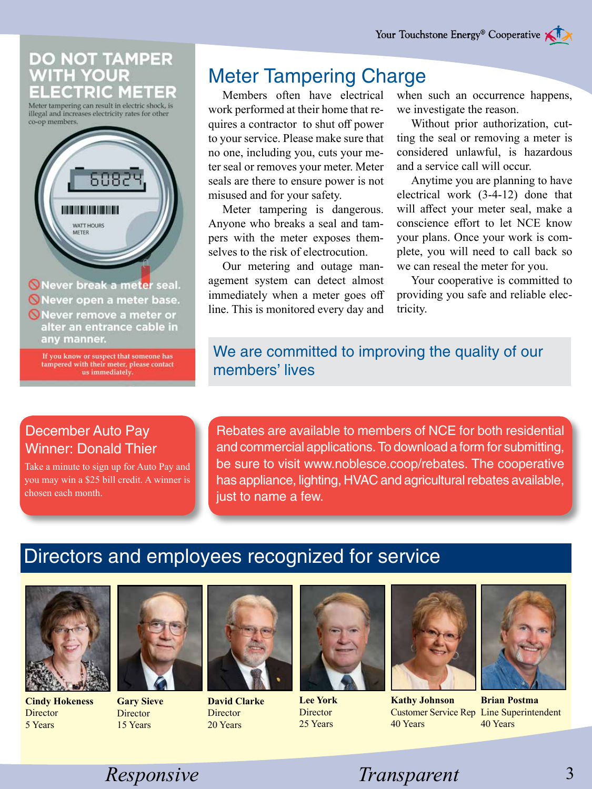#### DO NOT TAMPER **ITH YOUR CTRIC METER**

Meter tampering can result in electric shock, is illegal and increases electricity rates for other co-op members.



If you know or suspect that someone has tampered with their meter, please contact<br>us immediately.

## Meter Tampering Charge

Members often have electrical work performed at their home that requires a contractor to shut off power to your service. Please make sure that no one, including you, cuts your meter seal or removes your meter. Meter seals are there to ensure power is not misused and for your safety.

 Meter tampering is dangerous. Anyone who breaks a seal and tampers with the meter exposes themselves to the risk of electrocution.

 Our metering and outage management system can detect almost immediately when a meter goes off line. This is monitored every day and when such an occurrence happens, we investigate the reason.

Without prior authorization, cutting the seal or removing a meter is considered unlawful, is hazardous and a service call will occur.

 Anytime you are planning to have electrical work (3-4-12) done that will affect your meter seal, make a conscience effort to let NCE know your plans. Once your work is complete, you will need to call back so we can reseal the meter for you.

Your cooperative is committed to providing you safe and reliable electricity.

## We are committed to improving the quality of our members' lives

#### December Auto Pay Winner: Donald Thier

Take a minute to sign up for Auto Pay and you may win a \$25 bill credit. A winner is chosen each month.

Rebates are available to members of NCE for both residential and commercial applications. To download a form for submitting, be sure to visit www.noblesce.coop/rebates. The cooperative has appliance, lighting, HVAC and agricultural rebates available, just to name a few.

# Directors and employees recognized for service



**Cindy Hokeness Director** 5 Years



**Gary Sieve Director** 15 Years



**David Clarke Director** 20 Years



**Lee York Director** 25 Years



**Kathy Johnson** 40 Years



Customer Service Rep Line Superintendent **Brian Postma** 40 Years

*Responsive Safety Transparent* 3